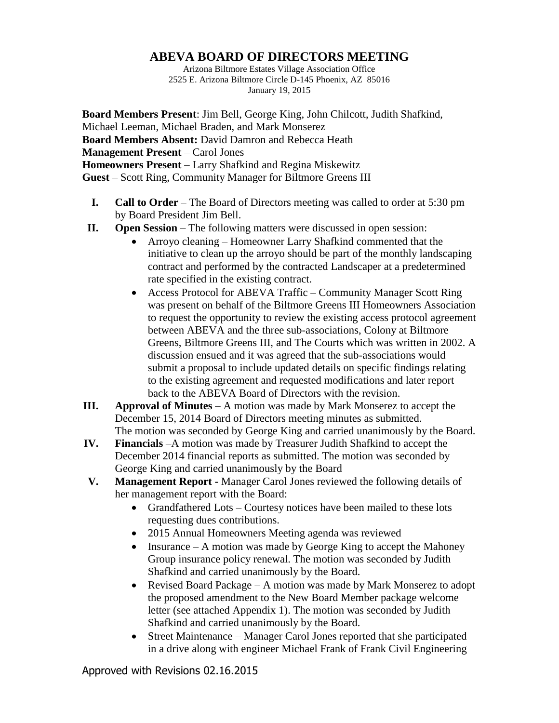## **ABEVA BOARD OF DIRECTORS MEETING**

Arizona Biltmore Estates Village Association Office 2525 E. Arizona Biltmore Circle D-145 Phoenix, AZ 85016 January 19, 2015

**Board Members Present**: Jim Bell, George King, John Chilcott, Judith Shafkind, Michael Leeman, Michael Braden, and Mark Monserez **Board Members Absent:** David Damron and Rebecca Heath **Management Present** – Carol Jones **Homeowners Present** – Larry Shafkind and Regina Miskewitz **Guest** – Scott Ring, Community Manager for Biltmore Greens III

- **I. Call to Order** The Board of Directors meeting was called to order at 5:30 pm by Board President Jim Bell.
- **II. Open Session** The following matters were discussed in open session:
	- Arroyo cleaning Homeowner Larry Shafkind commented that the initiative to clean up the arroyo should be part of the monthly landscaping contract and performed by the contracted Landscaper at a predetermined rate specified in the existing contract.
	- Access Protocol for ABEVA Traffic Community Manager Scott Ring was present on behalf of the Biltmore Greens III Homeowners Association to request the opportunity to review the existing access protocol agreement between ABEVA and the three sub-associations, Colony at Biltmore Greens, Biltmore Greens III, and The Courts which was written in 2002. A discussion ensued and it was agreed that the sub-associations would submit a proposal to include updated details on specific findings relating to the existing agreement and requested modifications and later report back to the ABEVA Board of Directors with the revision.
- **III. Approval of Minutes** A motion was made by Mark Monserez to accept the December 15, 2014 Board of Directors meeting minutes as submitted. The motion was seconded by George King and carried unanimously by the Board.
- **IV. Financials** –A motion was made by Treasurer Judith Shafkind to accept the December 2014 financial reports as submitted. The motion was seconded by George King and carried unanimously by the Board
- **V. Management Report -** Manager Carol Jones reviewed the following details of her management report with the Board:
	- Grandfathered Lots Courtesy notices have been mailed to these lots requesting dues contributions.
	- 2015 Annual Homeowners Meeting agenda was reviewed
	- Insurance  $A$  motion was made by George King to accept the Mahoney Group insurance policy renewal. The motion was seconded by Judith Shafkind and carried unanimously by the Board.
	- Revised Board Package A motion was made by Mark Monserez to adopt the proposed amendment to the New Board Member package welcome letter (see attached Appendix 1). The motion was seconded by Judith Shafkind and carried unanimously by the Board.
	- Street Maintenance Manager Carol Jones reported that she participated in a drive along with engineer Michael Frank of Frank Civil Engineering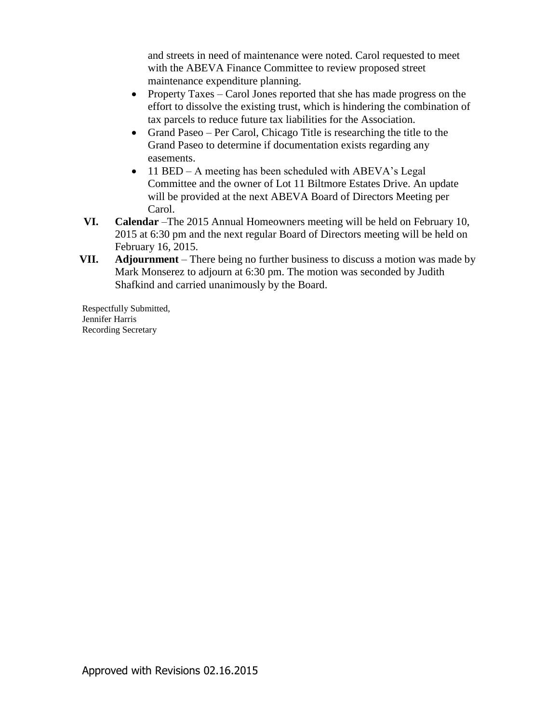and streets in need of maintenance were noted. Carol requested to meet with the ABEVA Finance Committee to review proposed street maintenance expenditure planning.

- Property Taxes Carol Jones reported that she has made progress on the effort to dissolve the existing trust, which is hindering the combination of tax parcels to reduce future tax liabilities for the Association.
- Grand Paseo Per Carol, Chicago Title is researching the title to the Grand Paseo to determine if documentation exists regarding any easements.
- 11 BED A meeting has been scheduled with ABEVA's Legal Committee and the owner of Lot 11 Biltmore Estates Drive. An update will be provided at the next ABEVA Board of Directors Meeting per Carol.
- **VI. Calendar** –The 2015 Annual Homeowners meeting will be held on February 10, 2015 at 6:30 pm and the next regular Board of Directors meeting will be held on February 16, 2015.
- **VII. Adjournment** There being no further business to discuss a motion was made by Mark Monserez to adjourn at 6:30 pm. The motion was seconded by Judith Shafkind and carried unanimously by the Board.

Respectfully Submitted, Jennifer Harris Recording Secretary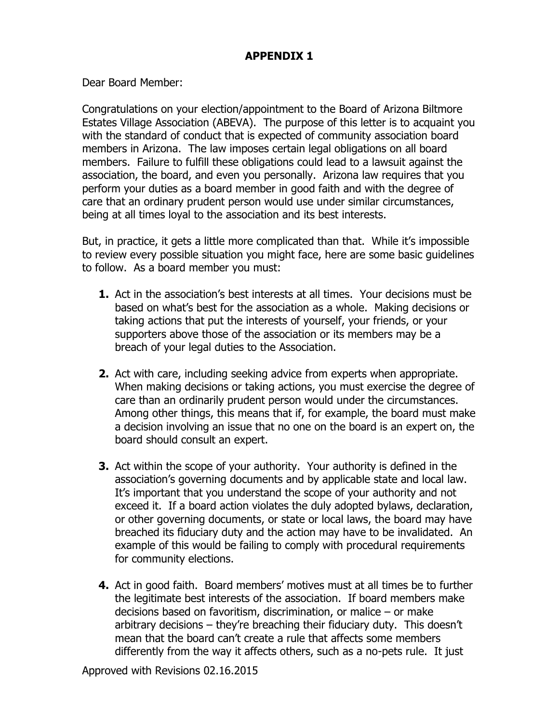## **APPENDIX 1**

Dear Board Member:

Congratulations on your election/appointment to the Board of Arizona Biltmore Estates Village Association (ABEVA). The purpose of this letter is to acquaint you with the standard of conduct that is expected of community association board members in Arizona. The law imposes certain legal obligations on all board members. Failure to fulfill these obligations could lead to a lawsuit against the association, the board, and even you personally. Arizona law requires that you perform your duties as a board member in good faith and with the degree of care that an ordinary prudent person would use under similar circumstances, being at all times loyal to the association and its best interests.

But, in practice, it gets a little more complicated than that. While it's impossible to review every possible situation you might face, here are some basic guidelines to follow. As a board member you must:

- **1.** Act in the association's best interests at all times. Your decisions must be based on what's best for the association as a whole. Making decisions or taking actions that put the interests of yourself, your friends, or your supporters above those of the association or its members may be a breach of your legal duties to the Association.
- **2.** Act with care, including seeking advice from experts when appropriate. When making decisions or taking actions, you must exercise the degree of care than an ordinarily prudent person would under the circumstances. Among other things, this means that if, for example, the board must make a decision involving an issue that no one on the board is an expert on, the board should consult an expert.
- **3.** Act within the scope of your authority. Your authority is defined in the association's governing documents and by applicable state and local law. It's important that you understand the scope of your authority and not exceed it. If a board action violates the duly adopted bylaws, declaration, or other governing documents, or state or local laws, the board may have breached its fiduciary duty and the action may have to be invalidated. An example of this would be failing to comply with procedural requirements for community elections.
- **4.** Act in good faith. Board members' motives must at all times be to further the legitimate best interests of the association. If board members make decisions based on favoritism, discrimination, or malice – or make arbitrary decisions – they're breaching their fiduciary duty. This doesn't mean that the board can't create a rule that affects some members differently from the way it affects others, such as a no-pets rule. It just

Approved with Revisions 02.16.2015